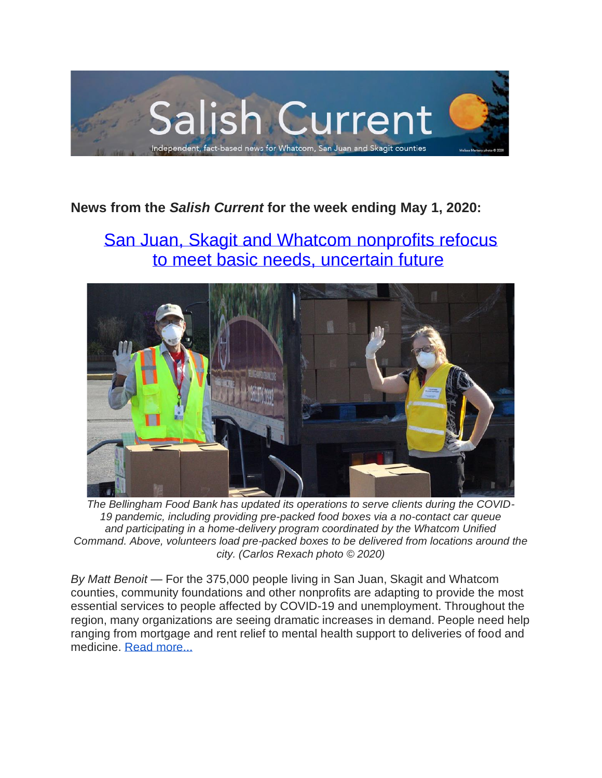

# **News from the** *Salish Current* **for the week ending May 1, 2020:**

# [San Juan, Skagit and Whatcom nonprofits refocus](https://salish-current.org/2020/04/27/san-juan-skagit-and-whatcom-nonprofits-refocus-to-meet-basic-needs-uncertain-future/) to meet [basic needs, uncertain future](https://salish-current.org/2020/04/27/san-juan-skagit-and-whatcom-nonprofits-refocus-to-meet-basic-needs-uncertain-future/)



*The Bellingham Food Bank has updated its operations to serve clients during the COVID-19 pandemic, including providing pre-packed food boxes via a no-contact car queue and participating in a home-delivery program coordinated by the Whatcom Unified Command. Above, volunteers load pre-packed boxes to be delivered from locations around the city. (Carlos Rexach photo © 2020)*

*By Matt Benoit* — For the 375,000 people living in San Juan, Skagit and Whatcom counties, community foundations and other nonprofits are adapting to provide the most essential services to people affected by COVID-19 and unemployment. Throughout the region, many organizations are seeing dramatic increases in demand. People need help ranging from mortgage and rent relief to mental health support to deliveries of food and medicine. [Read more...](https://salish-current.org/2020/04/27/san-juan-skagit-and-whatcom-nonprofits-refocus-to-meet-basic-needs-uncertain-future/)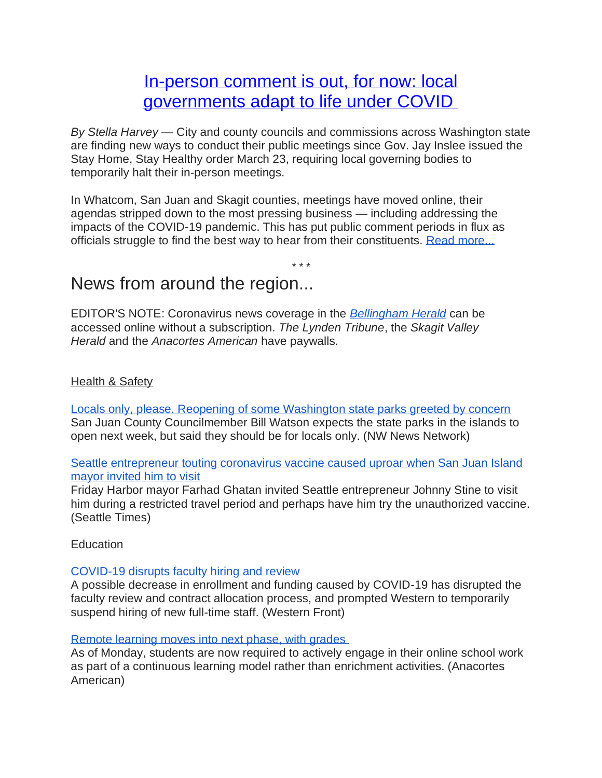# [In-person comment is out, for now: local](https://salish-current.org/2020/05/01/in-person-comment-is-out-for-now-local-governments-adapt-to-covid-rules/) governments [adapt to life under COVID](https://salish-current.org/2020/05/01/in-person-comment-is-out-for-now-local-governments-adapt-to-covid-rules/)

*By Stella Harvey* — City and county councils and commissions across Washington state are finding new ways to conduct their public meetings since Gov. Jay Inslee issued the Stay Home, Stay Healthy order March 23, requiring local governing bodies to temporarily halt their in-person meetings.

In Whatcom, San Juan and Skagit counties, meetings have moved online, their agendas stripped down to the most pressing business — including addressing the impacts of the COVID-19 pandemic. This has put public comment periods in flux as officials struggle to find the best way to hear from their constituents. [Read more...](https://salish-current.org/2020/05/01/in-person-comment-is-out-for-now-local-governments-adapt-to-covid-rules/)

*\* \* \**

# News from around the region...

EDITOR'S NOTE: Coronavirus news coverage in the *[Bellingham Herald](https://www.bellinghamherald.com/)* can be accessed online without a subscription. *The Lynden Tribune*, the *Skagit Valley Herald* and the *Anacortes American* have paywalls.

### Health & Safety

[Locals only, please. Reopening of some Washington state parks greeted by concern](https://kuow.org/stories/locals-only-please-reopening-of-some-washington-state-parks-greeted-by-concern) San Juan County Councilmember Bill Watson expects the state parks in the islands to open next week, but said they should be for locals only. (NW News Network)

#### [Seattle entrepreneur touting coronavirus vaccine caused uproar when San Juan Island](https://www.seattletimes.com/business/local-business/seattle-entrepreneur-touting-coronavirus-vaccine-caused-uproar-when-san-juan-island-mayor-invited-him-to-visit/)  [mayor invited him to visit](https://www.seattletimes.com/business/local-business/seattle-entrepreneur-touting-coronavirus-vaccine-caused-uproar-when-san-juan-island-mayor-invited-him-to-visit/)

Friday Harbor mayor Farhad Ghatan invited Seattle entrepreneur Johnny Stine to visit him during a restricted travel period and perhaps have him try the unauthorized vaccine. (Seattle Times)

#### **Education**

#### [COVID-19 disrupts faculty hiring and review](https://www.westernfrontonline.com/2020/04/29/covid-19-disrupts-faculty-hiring-and-review/)

A possible decrease in enrollment and funding caused by COVID-19 has disrupted the faculty review and contract allocation process, and prompted Western to temporarily suspend hiring of new full-time staff. (Western Front)

#### [Remote learning moves into next phase, with grades](https://www.goskagit.com/anacortes/coronavirus/remote-learning-moves-into-next-phase-with-grades/article_f3e759ce-899f-11ea-82d4-1b83e374fb49.html)

As of Monday, students are now required to actively engage in their online school work as part of a continuous learning model rather than enrichment activities. (Anacortes American)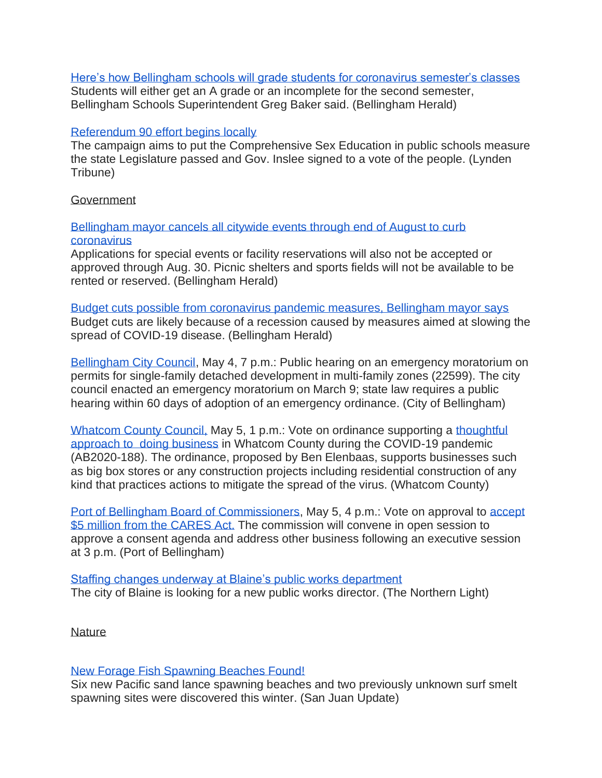[Here's how Bellingham schools will grade students for coronavirus semester's classes](https://www.bellinghamherald.com/news/coronavirus/article242386751.html) Students will either get an A grade or an incomplete for the second semester, Bellingham Schools Superintendent Greg Baker said. (Bellingham Herald)

#### [Referendum 90 effort begins locally](https://www.lyndentribune.com/news/referendum-90-effort-begins-locally/article_994721e4-8a3e-11ea-b0d3-5b957aaae707.html)

The campaign aims to put the Comprehensive Sex Education in public schools measure the state Legislature passed and Gov. Inslee signed to a vote of the people. (Lynden Tribune)

#### Government

[Bellingham mayor cancels all citywide events through end of August to curb](https://www.bellinghamherald.com/news/coronavirus/article242283581.html)  [coronavirus](https://www.bellinghamherald.com/news/coronavirus/article242283581.html)

Applications for special events or facility reservations will also not be accepted or approved through Aug. 30. Picnic shelters and sports fields will not be available to be rented or reserved. (Bellingham Herald)

[Budget cuts possible from coronavirus pandemic measures, Bellingham mayor says](https://www.bellinghamherald.com/news/coronavirus/article242326246.html) Budget cuts are likely because of a recession caused by measures aimed at slowing the spread of COVID-19 disease. (Bellingham Herald)

[Bellingham City Council,](https://meetings.cob.org/Documents/ViewDocument/City_Council_Regular_Meeting_2262_Agenda_Packet_5_4_2020_7_00_00_PM.pdf?meetingId=2262&documentType=AgendaPacket&itemId=0&publishId=0&isSection=false) May 4, 7 p.m.: Public hearing on an emergency moratorium on permits for single-family detached development in multi-family zones (22599). The city council enacted an emergency moratorium on March 9; state law requires a public hearing within 60 days of adoption of an emergency ordinance. (City of Bellingham)

[Whatcom County Council,](https://whatcom.legistar.com/View.ashx?M=A&ID=734933&GUID=2C4FF679-4061-4B23-860D-8EC0ACDEA5CA) May 5, 1 p.m.: Vote on ordinance supporting a [thoughtful](https://whatcom.legistar.com/View.ashx?M=F&ID=8264036&GUID=09006792-35A3-43D4-AF30-ACD95D3197B2)  approach to [doing business](https://whatcom.legistar.com/View.ashx?M=F&ID=8264036&GUID=09006792-35A3-43D4-AF30-ACD95D3197B2) in Whatcom County during the COVID-19 pandemic (AB2020-188). The ordinance, proposed by Ben Elenbaas, supports businesses such as big box stores or any construction projects including residential construction of any kind that practices actions to mitigate the spread of the virus. (Whatcom County)

[Port of Bellingham Board of Commissioners,](https://www.portofbellingham.com/AgendaCenter/ViewFile/Agenda/_05052020-440) May 5, 4 p.m.: Vote on approval to [accept](https://www.portofbellingham.com/AgendaCenter/ViewFile/Agenda/_05052020-440)  [\\$5 million from the CARES Act.](https://www.portofbellingham.com/AgendaCenter/ViewFile/Agenda/_05052020-440) The commission will convene in open session to approve a consent agenda and address other business following an executive session at 3 p.m. (Port of Bellingham)

[Staffing changes underway at Blaine's public works department](https://www.thenorthernlight.com/stories/staffing-changes-underway-at-blaines-public-works-department,10377?) The city of Blaine is looking for a new public works director. (The Northern Light)

#### **Nature**

#### [New Forage Fish Spawning Beaches Found!](https://sanjuanupdate.com/2020/04/good-news-new-forage-fish-spawning-beaches-found/)

Six new Pacific sand lance spawning beaches and two previously unknown surf smelt spawning sites were discovered this winter. (San Juan Update)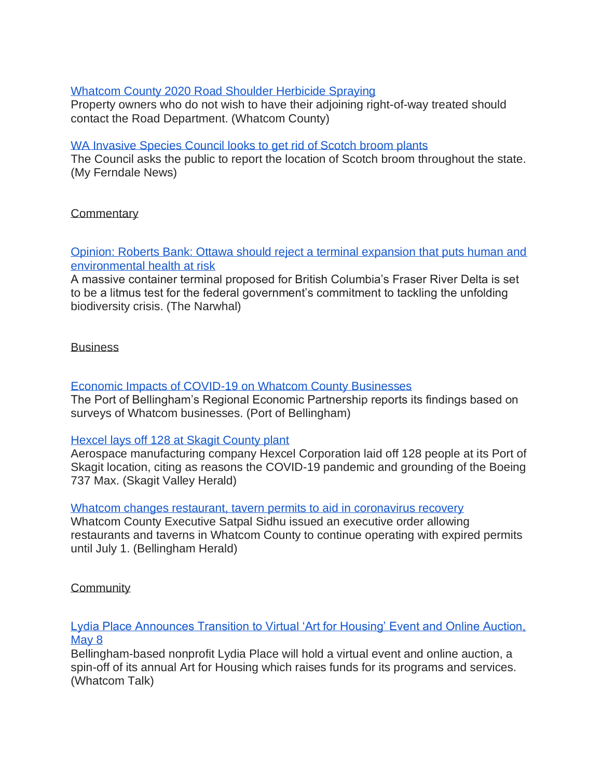#### [Whatcom County 2020 Road Shoulder Herbicide Spraying](https://www.whatcomcounty.us/DocumentCenter/View/47016/2020-0424---2020-Road-Shoulder-HerbIcide-Program)

Property owners who do not wish to have their adjoining right-of-way treated should contact the Road Department. (Whatcom County)

#### [WA Invasive Species Council looks to get rid of Scotch broom plants](https://myferndalenews.com/wa-invasive-species-council-looks-to-get-rid-of-scotch-broom-plants_102541/)

The Council asks the public to report the location of Scotch broom throughout the state. (My Ferndale News)

### **Commentary**

[Opinion: Roberts Bank: Ottawa should reject a terminal expansion that puts human and](https://thenarwhal.ca/opinion-roberts-bank-terminal-2-expansion-federal-government-should-reject-project/)  [environmental health at risk](https://thenarwhal.ca/opinion-roberts-bank-terminal-2-expansion-federal-government-should-reject-project/)

A massive container terminal proposed for British Columbia's Fraser River Delta is set to be a litmus test for the federal government's commitment to tackling the unfolding biodiversity crisis. (The Narwhal)

#### **Business**

### [Economic Impacts of COVID-19 on Whatcom County Businesses](https://www.portofbellingham.com/DocumentCenter/View/9342/POB-REP-General-Economic-Impact-of-COVID-19-Survey-Findings-4282020-FINAL?bidId=)

The Port of Bellingham's Regional Economic Partnership reports its findings based on surveys of Whatcom businesses. (Port of Bellingham)

#### [Hexcel lays off 128 at Skagit County plant](https://www.goskagit.com/coronavirus/hexcel-lays-off-130-at-skagit-county-plant/article_b890e543-69df-5354-aa57-173aec7b6085.html)

Aerospace manufacturing company Hexcel Corporation laid off 128 people at its Port of Skagit location, citing as reasons the COVID-19 pandemic and grounding of the Boeing 737 Max. (Skagit Valley Herald)

#### Whatcom changes restaurant, [tavern permits to aid in coronavirus recovery](https://www.bellinghamherald.com/news/coronavirus/article242276766.html)

Whatcom County Executive Satpal Sidhu issued an executive order allowing restaurants and taverns in Whatcom County to continue operating with expired permits until July 1. (Bellingham Herald)

## **Community**

#### [Lydia Place Announces Transition to Virtual 'Art for Housing' Event and Online Auction,](https://www.whatcomtalk.com/2020/04/28/lydia-place-announces-transition-to-virtual-event-on-may-8/)  [May 8](https://www.whatcomtalk.com/2020/04/28/lydia-place-announces-transition-to-virtual-event-on-may-8/)

Bellingham-based nonprofit Lydia Place will hold a virtual event and online auction, a spin-off of its annual Art for Housing which raises funds for its programs and services. (Whatcom Talk)